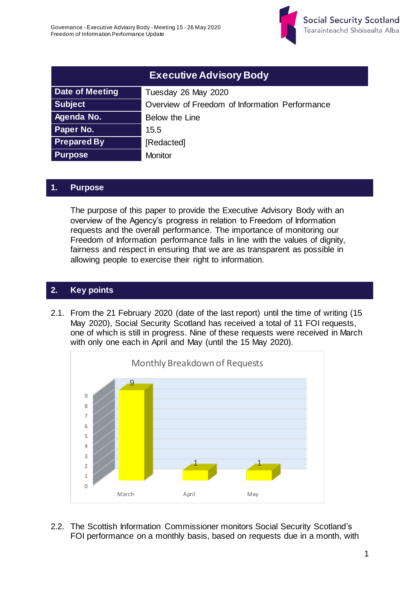

| <b>Executive Advisory Body</b> |                                                |  |  |  |  |  |  |
|--------------------------------|------------------------------------------------|--|--|--|--|--|--|
| Date of Meeting                | Tuesday 26 May 2020                            |  |  |  |  |  |  |
| Subject                        | Overview of Freedom of Information Performance |  |  |  |  |  |  |
| Agenda No.                     | Below the Line                                 |  |  |  |  |  |  |
| Paper No.                      | 15.5                                           |  |  |  |  |  |  |
| <b>Prepared By</b>             | [Redacted]                                     |  |  |  |  |  |  |
| <b>Purpose</b>                 | <b>Monitor</b>                                 |  |  |  |  |  |  |

### **1. Purpose**

The purpose of this paper to provide the Executive Advisory Body with an overview of the Agency's progress in relation to Freedom of Information requests and the overall performance. The importance of monitoring our Freedom of Information performance falls in line with the values of dignity, fairness and respect in ensuring that we are as transparent as possible in allowing people to exercise their right to information.

#### **2. Key points**

2.1. From the 21 February 2020 (date of the last report) until the time of writing (15 May 2020), Social Security Scotland has received a total of 11 FOI requests, one of which is still in progress. Nine of these requests were received in March with only one each in April and May (until the 15 May 2020).



2.2. The Scottish Information Commissioner monitors Social Security Scotland's FOI performance on a monthly basis, based on requests due in a month, with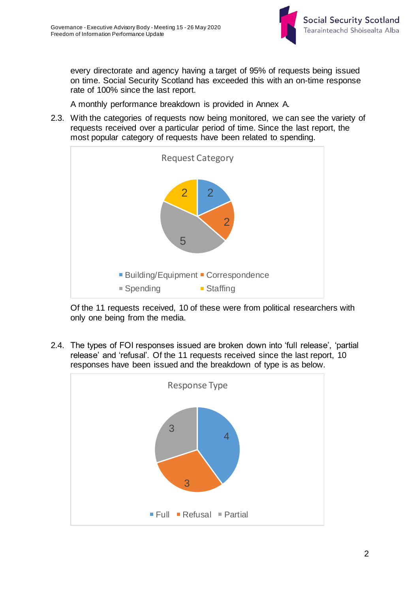

every directorate and agency having a target of 95% of requests being issued on time. Social Security Scotland has exceeded this with an on-time response rate of 100% since the last report.

A monthly performance breakdown is provided in Annex A.

2.3. With the categories of requests now being monitored, we can see the variety of requests received over a particular period of time. Since the last report, the most popular category of requests have been related to spending.



Of the 11 requests received, 10 of these were from political researchers with only one being from the media.

2.4. The types of FOI responses issued are broken down into 'full release', 'partial release' and 'refusal'. Of the 11 requests received since the last report, 10 responses have been issued and the breakdown of type is as below.

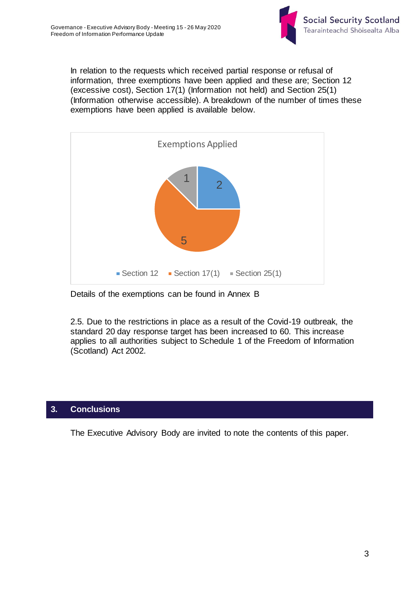

In relation to the requests which received partial response or refusal of information, three exemptions have been applied and these are; Section 12 (excessive cost), Section 17(1) (Information not held) and Section 25(1) (Information otherwise accessible). A breakdown of the number of times these exemptions have been applied is available below.



Details of the exemptions can be found in Annex B

2.5. Due to the restrictions in place as a result of the Covid-19 outbreak, the standard 20 day response target has been increased to 60. This increase applies to all authorities subject to Schedule 1 of the Freedom of Information (Scotland) Act 2002.

# **3. Conclusions**

**3.1.** The Executive Advisory Body are invited to note the contents of this paper.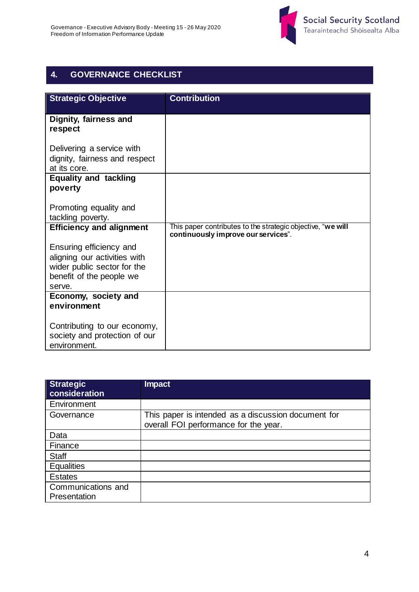

# **4. GOVERNANCE CHECKLIST**

| <b>Strategic Objective</b>                                                                                                   | <b>Contribution</b>                                                                                |
|------------------------------------------------------------------------------------------------------------------------------|----------------------------------------------------------------------------------------------------|
| Dignity, fairness and<br>respect                                                                                             |                                                                                                    |
| Delivering a service with<br>dignity, fairness and respect<br>at its core.                                                   |                                                                                                    |
| <b>Equality and tackling</b><br>poverty                                                                                      |                                                                                                    |
| Promoting equality and<br>tackling poverty.                                                                                  |                                                                                                    |
| <b>Efficiency and alignment</b>                                                                                              | This paper contributes to the strategic objective, "we will<br>continuously improve our services". |
| Ensuring efficiency and<br>aligning our activities with<br>wider public sector for the<br>benefit of the people we<br>serve. |                                                                                                    |
| Economy, society and<br>environment                                                                                          |                                                                                                    |
|                                                                                                                              |                                                                                                    |
| Contributing to our economy,<br>society and protection of our<br>environment.                                                |                                                                                                    |

| <b>Strategic</b><br>consideration  | <b>Impact</b>                                                                                |
|------------------------------------|----------------------------------------------------------------------------------------------|
| Environment                        |                                                                                              |
| Governance                         | This paper is intended as a discussion document for<br>overall FOI performance for the year. |
| Data                               |                                                                                              |
| Finance                            |                                                                                              |
| <b>Staff</b>                       |                                                                                              |
| <b>Equalities</b>                  |                                                                                              |
| <b>Estates</b>                     |                                                                                              |
| Communications and<br>Presentation |                                                                                              |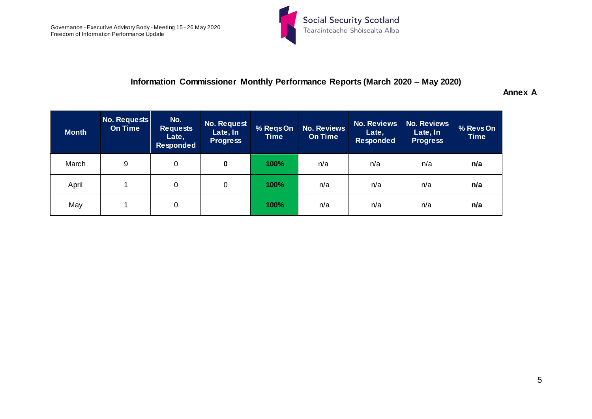

#### **Information Commissioner Monthly Performance Reports (March 2020 – May 2020)**

**Annex A**

| <b>Month</b> | No. Requests<br><b>On Time</b> | No.<br><b>Requests</b><br>Late,<br><b>Responded</b> | No. Request<br>Late, In<br><b>Progress</b> | % Regs On<br><b>Time</b> | No. Reviews<br><b>On Time</b> | <b>No. Reviews</b><br>Late,<br><b>Responded</b> | <b>No. Reviews</b><br>Late, In<br><b>Progress</b> | % Revs On<br><b>Time</b> |
|--------------|--------------------------------|-----------------------------------------------------|--------------------------------------------|--------------------------|-------------------------------|-------------------------------------------------|---------------------------------------------------|--------------------------|
| March        | 9                              | 0                                                   | 0                                          | 100%                     | n/a                           | n/a                                             | n/a                                               | n/a                      |
| April        |                                | 0                                                   | 0                                          | 100%                     | n/a                           | n/a                                             | n/a                                               | n/a                      |
| May          |                                | 0                                                   |                                            | 100%                     | n/a                           | n/a                                             | n/a                                               | n/a                      |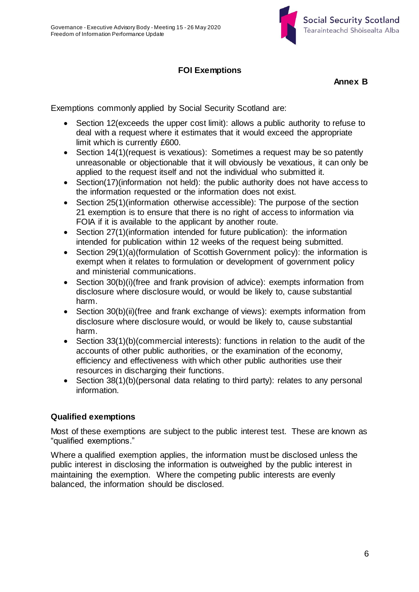

# **FOI Exemptions**

**Annex B**

Exemptions commonly applied by Social Security Scotland are:

- Section 12(exceeds the upper cost limit): allows a public authority to refuse to deal with a request where it estimates that it would exceed the appropriate limit which is currently £600.
- Section 14(1)(request is vexatious): Sometimes a request may be so patently unreasonable or objectionable that it will obviously be vexatious, it can only be applied to the request itself and not the individual who submitted it.
- Section(17)(information not held): the public authority does not have access to the information requested or the information does not exist.
- Section 25(1)(information otherwise accessible): The purpose of the section 21 exemption is to ensure that there is no right of access to information via FOIA if it is available to the applicant by another route.
- Section 27(1)(information intended for future publication): the information intended for publication within 12 weeks of the request being submitted.
- Section 29(1)(a)(formulation of Scottish Government policy): the information is exempt when it relates to formulation or development of government policy and ministerial communications.
- Section 30(b)(i)(free and frank provision of advice): exempts information from disclosure where disclosure would, or would be likely to, cause substantial harm.
- Section 30(b)(ii)(free and frank exchange of views): exempts information from disclosure where disclosure would, or would be likely to, cause substantial harm.
- Section 33(1)(b)(commercial interests): functions in relation to the audit of the accounts of other public authorities, or the examination of the economy, efficiency and effectiveness with which other public authorities use their resources in discharging their functions.
- Section 38(1)(b)(personal data relating to third party): relates to any personal information.

# **Qualified exemptions**

Most of these exemptions are subject to the public interest test. These are known as "qualified exemptions."

Where a qualified exemption applies, the information must be disclosed unless the public interest in disclosing the information is outweighed by the public interest in maintaining the exemption. Where the competing public interests are evenly balanced, the information should be disclosed.